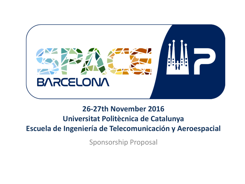

#### **26-27th November 2016 Universitat Politècnica de Catalunya Escuela de Ingeniería de Telecomunicación y Aeroespacial**

Sponsorship Proposal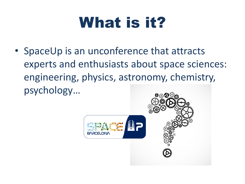### What is it?

• SpaceUp is an unconference that attracts experts and enthusiasts about space sciences: engineering, physics, astronomy, chemistry, psychology…

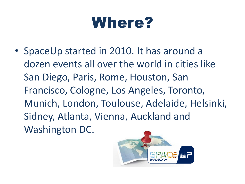#### Where?

• SpaceUp started in 2010. It has around a dozen events all over the world in cities like San Diego, Paris, Rome, Houston, San Francisco, Cologne, Los Angeles, Toronto, Munich, London, Toulouse, Adelaide, Helsinki, Sidney, Atlanta, Vienna, Auckland and Washington DC.

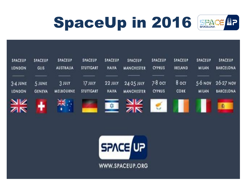



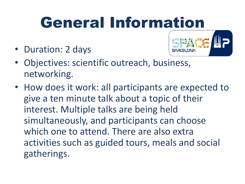## General Information

• Duration: 2 days



- Objectives: scientific outreach, business, networking.
- How does it work: all participants are expected to give a ten minute talk about a topic of their interest. Multiple talks are being held simultaneously, and participants can choose which one to attend. There are also extra activities such as guided tours, meals and social gatherings.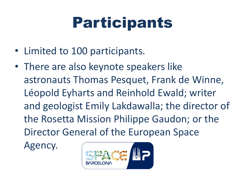### Participants

- Limited to 100 participants.
- There are also keynote speakers like astronauts Thomas Pesquet, Frank de Winne, Léopold Eyharts and Reinhold Ewald; writer and geologist Emily Lakdawalla; the director of the Rosetta Mission Philippe Gaudon; or the Director General of the European Space

Agency.

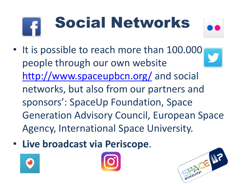# Social Networks



- It is possible to reach more than 100.000 people through our own website <http://www.spaceupbcn.org/> and social networks, but also from our partners and sponsors': SpaceUp Foundation, Space Generation Advisory Council, European Space Agency, International Space University.
- **Live broadcast via Periscope**.





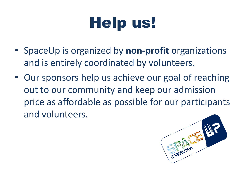## Help us!

- SpaceUp is organized by **non-profit** organizations and is entirely coordinated by volunteers.
- Our sponsors help us achieve our goal of reaching out to our community and keep our admission price as affordable as possible for our participants and volunteers.

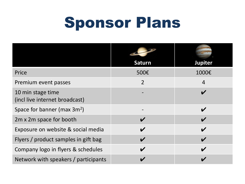#### Sponsor Plans

|                                                     | <b>Saturn</b>  | <b>Jupiter</b>             |
|-----------------------------------------------------|----------------|----------------------------|
| Price                                               | 500€           | 1000€                      |
| Premium event passes                                | $\overline{2}$ | $\overline{4}$             |
| 10 min stage time<br>(incl live internet broadcast) |                | $\boldsymbol{\nu}$         |
| Space for banner (max $3m^2$ )                      |                | $\boldsymbol{\mathcal{U}}$ |
| 2m x 2m space for booth                             |                | $\overline{\mathbf{v}}$    |
| Exposure on website & social media                  |                | $\boldsymbol{\nu}$         |
| Flyers / product samples in gift bag                |                | $\boldsymbol{\nu}$         |
| Company logo in flyers & schedules                  | V              | $\boldsymbol{\mathcal{U}}$ |
| Network with speakers / participants                |                |                            |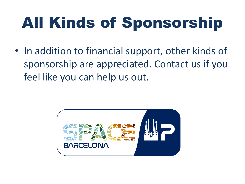# All Kinds of Sponsorship

• In addition to financial support, other kinds of sponsorship are appreciated. Contact us if you feel like you can help us out.